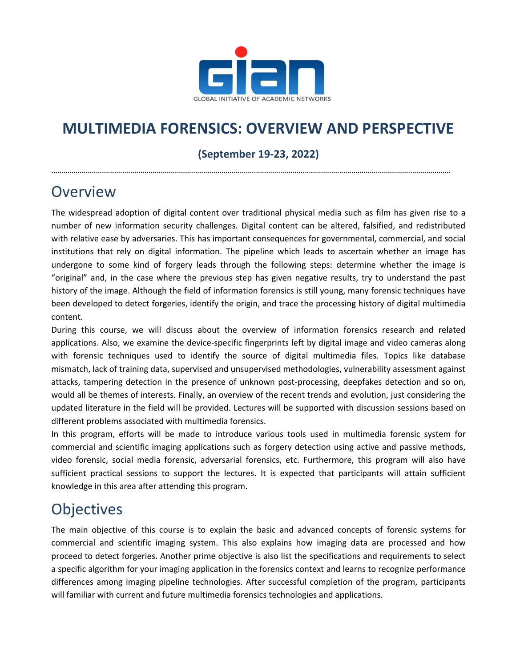

# **MULTIMEDIA FORENSICS: OVERVIEW AND PERSPECTIVE**

### **(September 19-23, 2022)**

.....................................................................................................................................................................................................

# **Overview**

The widespread adoption of digital content over traditional physical media such as film has given rise to a number of new information security challenges. Digital content can be altered, falsified, and redistributed with relative ease by adversaries. This has important consequences for governmental, commercial, and social institutions that rely on digital information. The pipeline which leads to ascertain whether an image has undergone to some kind of forgery leads through the following steps: determine whether the image is "original" and, in the case where the previous step has given negative results, try to understand the past history of the image. Although the field of information forensics is still young, many forensic techniques have been developed to detect forgeries, identify the origin, and trace the processing history of digital multimedia content.

During this course, we will discuss about the overview of information forensics research and related applications. Also, we examine the device-specific fingerprints left by digital image and video cameras along with forensic techniques used to identify the source of digital multimedia files. Topics like database mismatch, lack of training data, supervised and unsupervised methodologies, vulnerability assessment against attacks, tampering detection in the presence of unknown post-processing, deepfakes detection and so on, would all be themes of interests. Finally, an overview of the recent trends and evolution, just considering the updated literature in the field will be provided. Lectures will be supported with discussion sessions based on different problems associated with multimedia forensics.

In this program, efforts will be made to introduce various tools used in multimedia forensic system for commercial and scientific imaging applications such as forgery detection using active and passive methods, video forensic, social media forensic, adversarial forensics, etc. Furthermore, this program will also have sufficient practical sessions to support the lectures. It is expected that participants will attain sufficient knowledge in this area after attending this program.

# **Objectives**

The main objective of this course is to explain the basic and advanced concepts of forensic systems for commercial and scientific imaging system. This also explains how imaging data are processed and how proceed to detect forgeries. Another prime objective is also list the specifications and requirements to select a specific algorithm for your imaging application in the forensics context and learns to recognize performance differences among imaging pipeline technologies. After successful completion of the program, participants will familiar with current and future multimedia forensics technologies and applications.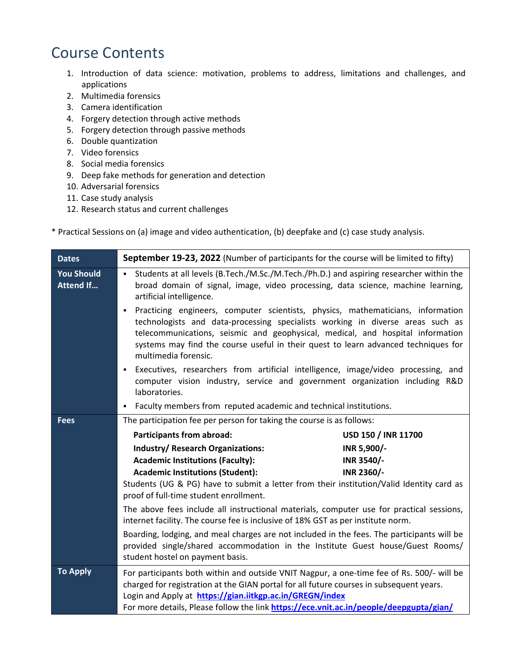# Course Contents

- 1. Introduction of data science: motivation, problems to address, limitations and challenges, and applications
- 2. Multimedia forensics
- 3. Camera identification
- 4. Forgery detection through active methods
- 5. Forgery detection through passive methods
- 6. Double quantization
- 7. Video forensics
- 8. Social media forensics
- 9. Deep fake methods for generation and detection
- 10. Adversarial forensics
- 11. Case study analysis
- 12. Research status and current challenges

\* Practical Sessions on (a) image and video authentication, (b) deepfake and (c) case study analysis.

| <b>Dates</b>                          | September 19-23, 2022 (Number of participants for the course will be limited to fifty)                                                                                                                                                                                                                                                                                                                                                                                                                                                 |                            |
|---------------------------------------|----------------------------------------------------------------------------------------------------------------------------------------------------------------------------------------------------------------------------------------------------------------------------------------------------------------------------------------------------------------------------------------------------------------------------------------------------------------------------------------------------------------------------------------|----------------------------|
| <b>You Should</b><br><b>Attend If</b> | • Students at all levels (B.Tech./M.Sc./M.Tech./Ph.D.) and aspiring researcher within the<br>broad domain of signal, image, video processing, data science, machine learning,<br>artificial intelligence.                                                                                                                                                                                                                                                                                                                              |                            |
|                                       | Practicing engineers, computer scientists, physics, mathematicians, information<br>٠<br>technologists and data-processing specialists working in diverse areas such as<br>telecommunications, seismic and geophysical, medical, and hospital information<br>systems may find the course useful in their quest to learn advanced techniques for<br>multimedia forensic.                                                                                                                                                                 |                            |
|                                       | Executives, researchers from artificial intelligence, image/video processing, and<br>٠<br>computer vision industry, service and government organization including R&D<br>laboratories.                                                                                                                                                                                                                                                                                                                                                 |                            |
|                                       | Faculty members from reputed academic and technical institutions.<br>٠                                                                                                                                                                                                                                                                                                                                                                                                                                                                 |                            |
| <b>Fees</b>                           | The participation fee per person for taking the course is as follows:                                                                                                                                                                                                                                                                                                                                                                                                                                                                  |                            |
|                                       | <b>Participants from abroad:</b>                                                                                                                                                                                                                                                                                                                                                                                                                                                                                                       | <b>USD 150 / INR 11700</b> |
|                                       | <b>Industry/ Research Organizations:</b>                                                                                                                                                                                                                                                                                                                                                                                                                                                                                               | INR 5,900/-                |
|                                       | <b>Academic Institutions (Faculty):</b>                                                                                                                                                                                                                                                                                                                                                                                                                                                                                                | INR 3540/-                 |
|                                       | <b>Academic Institutions (Student):</b>                                                                                                                                                                                                                                                                                                                                                                                                                                                                                                | INR 2360/-                 |
|                                       | Students (UG & PG) have to submit a letter from their institution/Valid Identity card as<br>proof of full-time student enrollment.<br>The above fees include all instructional materials, computer use for practical sessions,<br>internet facility. The course fee is inclusive of 18% GST as per institute norm.<br>Boarding, lodging, and meal charges are not included in the fees. The participants will be<br>provided single/shared accommodation in the Institute Guest house/Guest Rooms/<br>student hostel on payment basis. |                            |
|                                       |                                                                                                                                                                                                                                                                                                                                                                                                                                                                                                                                        |                            |
|                                       |                                                                                                                                                                                                                                                                                                                                                                                                                                                                                                                                        |                            |
| <b>To Apply</b>                       | For participants both within and outside VNIT Nagpur, a one-time fee of Rs. 500/- will be<br>charged for registration at the GIAN portal for all future courses in subsequent years.<br>Login and Apply at https://gian.iitkgp.ac.in/GREGN/index<br>For more details, Please follow the link https://ece.vnit.ac.in/people/deepgupta/gian/                                                                                                                                                                                             |                            |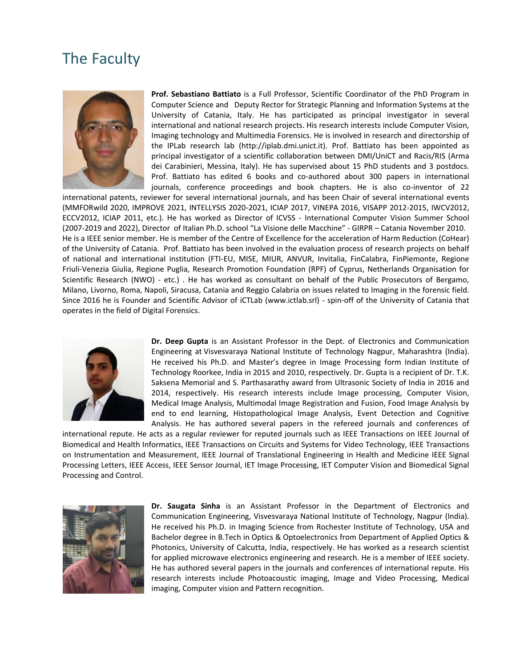### The Faculty



**Prof. Sebastiano Battiato** is a Full Professor, Scientific Coordinator of the PhD Program in Computer Science and Deputy Rector for Strategic Planning and Information Systems at the University of Catania, Italy. He has participated as principal investigator in several international and national research projects. His research interests include Computer Vision, Imaging technology and Multimedia Forensics. He is involved in research and directorship of the IPLab research lab [\(http://iplab.dmi.unict.it\)](http://iplab.dmi.unict.it/). Prof. Battiato has been appointed as principal investigator of a scientific collaboration between DMI/UniCT and Racis/RIS (Arma dei Carabinieri, Messina, Italy). He has supervised about 15 PhD students and 3 postdocs. Prof. Battiato has edited 6 books and co-authored about 300 papers in international journals, conference proceedings and book chapters. He is also co-inventor of 22

international patents, reviewer for several international journals, and has been Chair of several international events (MMFORwild 2020, IMPROVE 2021, INTELLYSIS 2020-2021, ICIAP 2017, VINEPA 2016, VISAPP 2012-2015, IWCV2012, ECCV2012, ICIAP 2011, etc.). He has worked as Director of ICVSS - International Computer Vision Summer School (2007-2019 and 2022), Director of Italian Ph.D. school "La Visione delle Macchine" - GIRPR – Catania November 2010. He is a IEEE senior member. He is member of the Centre of Excellence for the acceleration of Harm Reduction (CoHear) of the University of Catania. Prof. Battiato has been involved in the evaluation process of research projects on behalf of national and international institution (FTI-EU, MISE, MIUR, ANVUR, Invitalia, FinCalabra, FinPiemonte, Regione Friuli-Venezia Giulia, Regione Puglia, Research Promotion Foundation (RPF) of Cyprus, Netherlands Organisation for Scientific Research (NWO) - etc.) . He has worked as consultant on behalf of the Public Prosecutors of Bergamo, Milano, Livorno, Roma, Napoli, Siracusa, Catania and Reggio Calabria on issues related to Imaging in the forensic field. Since 2016 he is Founder and Scientific Advisor of iCTLab (www.ictlab.srl) - spin-off of the University of Catania that operates in the field of Digital Forensics.



**Dr. Deep Gupta** is an Assistant Professor in the Dept. of Electronics and Communication Engineering at [Visvesvaraya National Institute of Technology Nagpur,](http://vnit.ac.in/) Maharashtra (India). He received his Ph.D. and Master's degree in Image Processing form Indian Institute of Technology Roorkee, India in 2015 and 2010, respectively. Dr. Gupta is a recipient of Dr. T.K. Saksena Memorial and S. Parthasarathy award from Ultrasonic Society of India in 2016 and 2014, respectively. His research interests include Image processing, Computer Vision, Medical Image Analysis, Multimodal Image Registration and Fusion, Food Image Analysis by end to end learning, Histopathological Image Analysis, Event Detection and Cognitive Analysis. He has authored several papers in the refereed journals and conferences of

international repute. He acts as a regular reviewer for reputed journals such as IEEE Transactions on IEEE Journal of Biomedical and Health Informatics, IEEE Transactions on Circuits and Systems for Video Technology, IEEE Transactions on Instrumentation and Measurement, IEEE Journal of Translational Engineering in Health and Medicine IEEE Signal Processing Letters, IEEE Access, IEEE Sensor Journal, IET Image Processing, IET Computer Vision and Biomedical Signal Processing and Control.



**Dr. Saugata Sinha** is an Assistant Professor in the Department of Electronics and Communication Engineering, Visvesvaraya National Institute of Technology, Nagpur (India). He received his Ph.D. in Imaging Science from Rochester Institute of Technology, USA and Bachelor degree in B.Tech in Optics & Optoelectronics from Department of Applied Optics & Photonics, University of Calcutta, India, respectively. He has worked as a research scientist for applied microwave electronics engineering and research. He is a member of IEEE society. He has authored several papers in the journals and conferences of international repute. His research interests include Photoacoustic imaging, Image and Video Processing, Medical imaging, Computer vision and Pattern recognition.